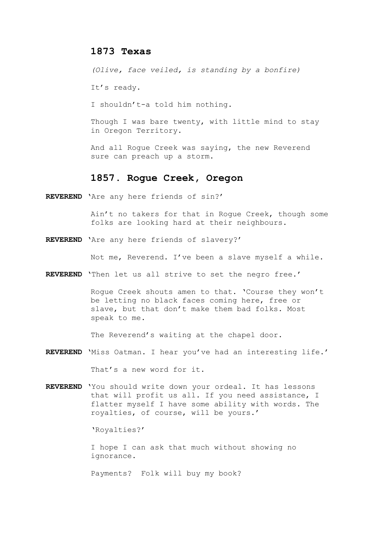## **1873 Texas**

*(Olive, face veiled, is standing by a bonfire)*

It's ready.

I shouldn't-a told him nothing.

Though I was bare twenty, with little mind to stay in Oregon Territory.

And all Rogue Creek was saying, the new Reverend sure can preach up a storm.

# **1857. Rogue Creek, Oregon**

**REVEREND** 'Are any here friends of sin?'

Ain't no takers for that in Rogue Creek, though some folks are looking hard at their neighbours.

**REVEREND** 'Are any here friends of slavery?'

Not me, Reverend. I've been a slave myself a while.

**REVEREND** 'Then let us all strive to set the negro free.'

Rogue Creek shouts amen to that. 'Course they won't be letting no black faces coming here, free or slave, but that don't make them bad folks. Most speak to me.

The Reverend's waiting at the chapel door.

**REVEREND** 'Miss Oatman. I hear you've had an interesting life.'

That's a new word for it.

**REVEREND** 'You should write down your ordeal. It has lessons that will profit us all. If you need assistance, I flatter myself I have some ability with words. The royalties, of course, will be yours.'

'Royalties?'

I hope I can ask that much without showing no ignorance.

Payments? Folk will buy my book?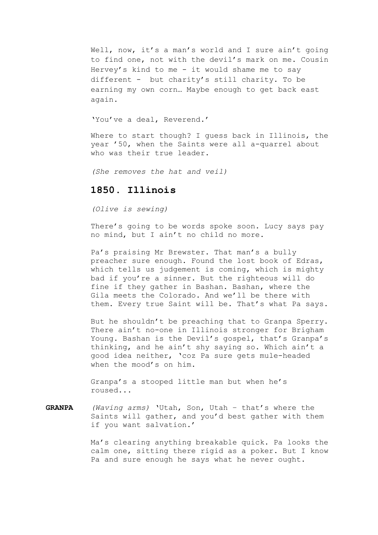Well, now, it's a man's world and I sure ain't going to find one, not with the devil's mark on me. Cousin Hervey's kind to me - it would shame me to say different - but charity's still charity. To be earning my own corn… Maybe enough to get back east again.

'You've a deal, Reverend.'

Where to start though? I guess back in Illinois, the year '50, when the Saints were all a-quarrel about who was their true leader.

*(She removes the hat and veil)*

## **1850. Illinois**

*(Olive is sewing)*

There's going to be words spoke soon. Lucy says pay no mind, but I ain't no child no more.

Pa's praising Mr Brewster. That man's a bully preacher sure enough. Found the lost book of Edras, which tells us judgement is coming, which is mighty bad if you're a sinner. But the righteous will do fine if they gather in Bashan. Bashan, where the Gila meets the Colorado. And we'll be there with them. Every true Saint will be. That's what Pa says.

But he shouldn't be preaching that to Granpa Sperry. There ain't no-one in Illinois stronger for Brigham Young. Bashan is the Devil's gospel, that's Granpa's thinking, and he ain't shy saying so. Which ain't a good idea neither, 'coz Pa sure gets mule-headed when the mood's on him.

Granpa's a stooped little man but when he's roused...

#### **GRANPA** *(Waving arms)* 'Utah, Son, Utah – that's where the Saints will gather, and you'd best gather with them if you want salvation.'

Ma's clearing anything breakable quick. Pa looks the calm one, sitting there rigid as a poker. But I know Pa and sure enough he says what he never ought.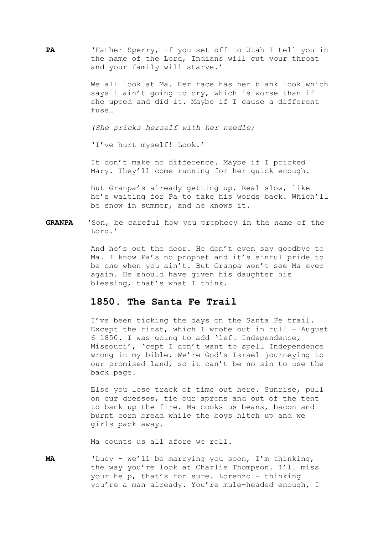**PA** 'Father Sperry, if you set off to Utah I tell you in the name of the Lord, Indians will cut your throat and your family will starve.'

> We all look at Ma. Her face has her blank look which says I ain't going to cry, which is worse than if she upped and did it. Maybe if I cause a different fuss…

*(She pricks herself with her needle)*

'I've hurt myself! Look.'

It don't make no difference. Maybe if I pricked Mary. They'll come running for her quick enough.

But Granpa's already getting up. Real slow, like he's waiting for Pa to take his words back. Which'll be snow in summer, and he knows it.

**GRANPA** 'Son, be careful how you prophecy in the name of the Lord.'

> And he's out the door. He don't even say goodbye to Ma. I know Pa's no prophet and it's sinful pride to be one when you ain't. But Granpa won't see Ma ever again. He should have given his daughter his blessing, that's what I think.

#### **1850. The Santa Fe Trail**

I've been ticking the days on the Santa Fe trail. Except the first, which I wrote out in full – August 6 1850. I was going to add 'left Independence, Missouri', 'cept I don't want to spell Independence wrong in my bible. We're God's Israel journeying to our promised land, so it can't be no sin to use the back page.

Else you lose track of time out here. Sunrise, pull on our dresses, tie our aprons and out of the tent to bank up the fire. Ma cooks us beans, bacon and burnt corn bread while the boys hitch up and we girls pack away.

Ma counts us all afore we roll.

**MA** 'Lucy - we'll be marrying you soon, I'm thinking, the way you're look at Charlie Thompson. I'll miss your help, that's for sure. Lorenzo - thinking you're a man already. You're mule-headed enough, I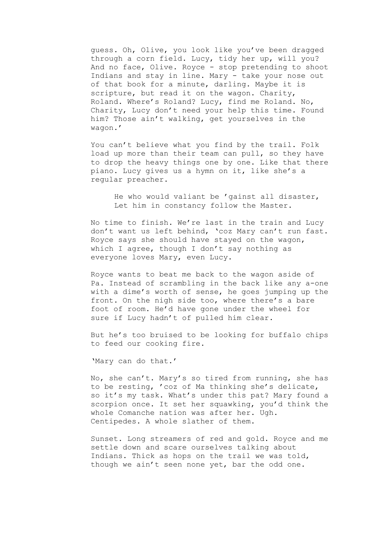guess. Oh, Olive, you look like you've been dragged through a corn field. Lucy, tidy her up, will you? And no face, Olive. Royce - stop pretending to shoot Indians and stay in line. Mary - take your nose out of that book for a minute, darling. Maybe it is scripture, but read it on the wagon. Charity, Roland. Where's Roland? Lucy, find me Roland. No, Charity, Lucy don't need your help this time. Found him? Those ain't walking, get yourselves in the wagon.'

You can't believe what you find by the trail. Folk load up more than their team can pull, so they have to drop the heavy things one by one. Like that there piano. Lucy gives us a hymn on it, like she's a regular preacher.

He who would valiant be 'gainst all disaster, Let him in constancy follow the Master.

No time to finish. We're last in the train and Lucy don't want us left behind, 'coz Mary can't run fast. Royce says she should have stayed on the wagon, which I agree, though I don't say nothing as everyone loves Mary, even Lucy.

Royce wants to beat me back to the wagon aside of Pa. Instead of scrambling in the back like any a-one with a dime's worth of sense, he goes jumping up the front. On the nigh side too, where there's a bare foot of room. He'd have gone under the wheel for sure if Lucy hadn't of pulled him clear.

But he's too bruised to be looking for buffalo chips to feed our cooking fire.

'Mary can do that.'

No, she can't. Mary's so tired from running, she has to be resting, 'coz of Ma thinking she's delicate, so it's my task. What's under this pat? Mary found a scorpion once. It set her squawking, you'd think the whole Comanche nation was after her. Ugh. Centipedes. A whole slather of them.

Sunset. Long streamers of red and gold. Royce and me settle down and scare ourselves talking about Indians. Thick as hops on the trail we was told, though we ain't seen none yet, bar the odd one.